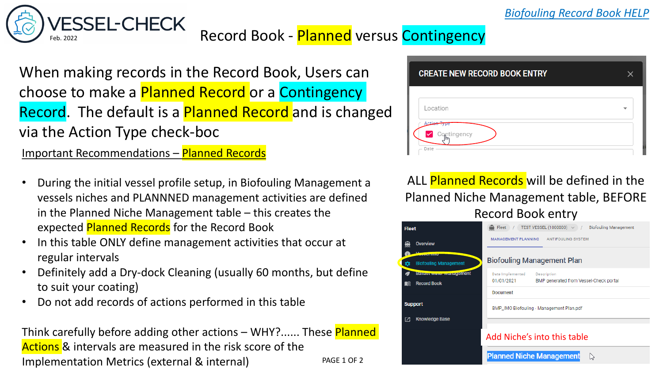## VESSEL-CHECK<br>[Feb. 2022](https://vessel-check.com/) Record Book - Planned versus Contingency

When making records in the Record Book, Users can choose to make a Planned Record or a Contingency Record. The default is a Planned Record and is changed via the Action Type check-boc

Important Recommendations – Planned Records

- During the initial vessel profile setup, in Biofouling Management a vessels niches and PLANNNED management activities are defined in the Planned Niche Management table – this creates the expected Planned Records for the Record Book
- In this table ONLY define management activities that occur at regular intervals
- Definitely add a Dry-dock Cleaning (usually 60 months, but define to suit your coating)
- Do not add records of actions performed in this table

Think carefully before adding other actions – WHY?...... These Planned Actions & intervals are measured in the risk score of the Implementation Metrics (external & internal) PAGE 1 OF 2



ALL Planned Records will be defined in the Planned Niche Management table, BEFORE Record Book entry